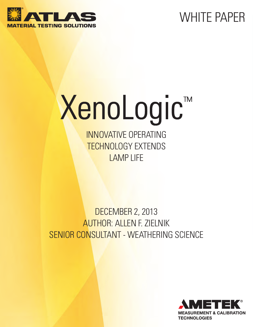# WHITE PAPER



# XenoLogic™

INNOVATIVE OPERATING TECHNOLOGY EXTENDS LAMP LIFE

#### DECEMBER 2, 2013 AUTHOR: ALLEN F. ZIELNIK SENIOR CONSULTANT - WEATHERING SCIENCE

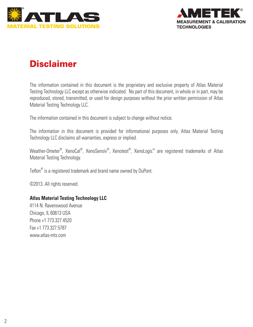



#### **Disclaimer**

The information contained in this document is the proprietary and exclusive property of Atlas Material Testing Technology LLC except as otherwise indicated. No part of this document, in whole or in part, may be reproduced, stored, transmitted, or used for design purposes without the prior written permission of Atlas Material Testing Technology LLC.

The information contained in this document is subject to change without notice.

The information in this document is provided for informational purposes only. Atlas Material Testing Technology LLC disclaims all warranties, express or implied.

Weather-Ometer®, XenoCal®, XenoSensiv®, Xenotest®, XenoLogic™ are registered trademarks of Atlas Material Testing Technology.

Teflon® is a registered trademark and brand name owned by DuPont.

©2013. All rights reserved.

#### **Atlas Material Testing Technology LLC**

4114 N. Ravenswood Avenue Chicago, IL 60613 USA Phone +1 773.327.4520 Fax +1 773.327.5787 www.atlas-mts.com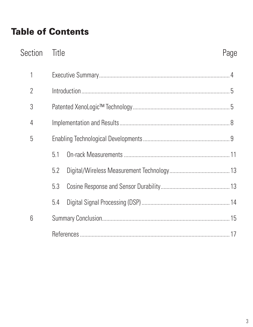#### **Table of Contents**

| Section         | <b>Title</b> | Page |
|-----------------|--------------|------|
| 1               |              |      |
| $\overline{2}$  |              |      |
| 3               |              |      |
| 4               |              |      |
| 5               |              |      |
|                 | 5.1          |      |
|                 | 5.2          |      |
|                 | 5.3          |      |
|                 | 5.4          |      |
| $6\phantom{.}6$ |              |      |
|                 |              |      |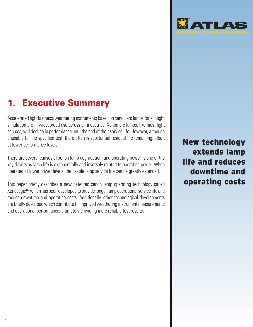#### **Executive Summary**

Accelerated lightfastness/weathering instruments based on xenon arc lamps for sunlight simulation are in widespread use across all industries. Xenon arc lamps, like most light sources, will decline in performance until the end of their service life. However, although unusable for the specified test, there often is substantial residual life remaining, albeit at lower performance levels.

There are several causes of xenon lamp degradation, and operating power is one of the key drivers as lamp life is exponentially and inversely related to operating power. When operated at lower power levels, the usable lamp service life can be greatly extended.

This paper briefly describes a new patented xenon lamp operating technology called XenoLogic™ which has been developed to provide longer lamp operational service life and reduce downtime and operating costs. Additionally, other technological developments are briefly described which contribute to improved weathering instrument measurements and operational performance, ultimately providing more reliable test results.

New technology extends lamp life and reduces downtime and operating costs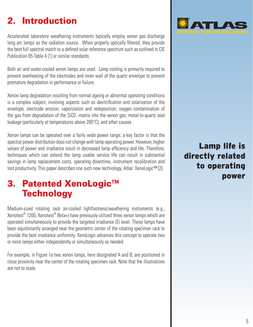## 2. Introduction

Accelerated laboratory weathering instruments typically employ xenon gas discharge long arc lamps as the radiation source. When properly optically filtered, they provide the best full spectral match to a defined solar reference spectrum such as outlined in CIE Publication 85 Table 4 [1] or similar standards.

Both air and water-cooled xenon lamps are used. Lamp cooling is primarily required to prevent overheating of the electrodes and inner wall of the quartz envelope to prevent premature degradation in performance or failure.

Xenon lamp degradation resulting from normal ageing or abnormal operating conditions is a complex subject, involving aspects such as devitrification and solarization of the envelope; electrode erosion, vaporization and redeposition; oxygen contamination of the gas from degradation of the SiO2 -matrix into the xenon gas; metal-to-quartz seal leakage (particularly at temperatures above 200°C); and other causes.

Xenon lamps can be operated over a fairly wide power range; a key factor is that the spectral power distribution does not change with lamp operating power. However, higher values of power and irradiance result in decreased lamp efficiency and life. Therefore, techniques which can extend the lamp usable service life can result in substantial savings in lamp replacement costs, operating downtime, instrument recalibration and lost productivity. This paper describes one such new technology, Atlas' XenoLogic™ [2].

#### 3. Patented XenoLogic™ **Technology**

Medium-sized rotating rack air-cooled lightfastness/weathering instruments (e.g., Xenotest $^{\circledast}$  1200, Xenotest $^{\circledast}$  Beta+) have previously utilized three xenon lamps which are operated simultaneously to provide the targeted irradiance (E) level. These lamps have been equidistantly arranged near the geometric center of the rotating specimen rack to provide the best irradiance uniformity. XenoLogic advances this concept to operate two or more lamps either independently or simultaneously as needed.

For example, in Figure 1a two xenon lamps, here designated A and B, are positioned in close proximity near the center of the rotating specimen rack. Note that the illustrations are not to scale.



#### Lamp life is directly related to operating power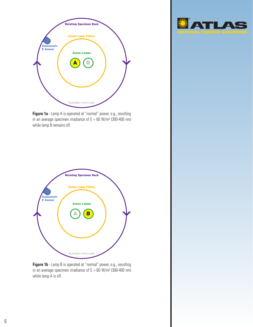

**Figure 1a** - Lamp A is operated at "normal" power, e.g., resulting in an average specimen irradiance of  $E = 60$  W/m<sup>2</sup> (300-400 nm) while lamp B remains off.



**Figure 1b** - Lamp B is operated at "normal" power, e.g., resulting in an average specimen irradiance of  $E = 60$  W/m<sup>2</sup> (300-400 nm) while lamp A is off.

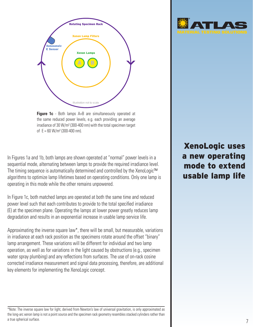

**Figure 1c** - Both lamps A+B are simultaneously operated at the same reduced power levels, e.g. each providing an average irradiance of 30 W/m² (300-400 nm) with the total specimen target of  $E = 60$  W/m<sup>2</sup> (300-400 nm).

In Figures 1a and 1b, both lamps are shown operated at "normal" power levels in a sequential mode, alternating between lamps to provide the required irradiance level. The timing sequence is automatically determined and controlled by the XenoLogic™ algorithms to optimize lamp lifetimes based on operating conditions. Only one lamp is operating in this mode while the other remains unpowered.

In Figure 1c, both matched lamps are operated at both the same time and reduced power level such that each contributes to provide to the total specified irradiance (E) at the specimen plane. Operating the lamps at lower power greatly reduces lamp degradation and results in an exponential increase in usable lamp service life.

Approximating the inverse square law\*, there will be small, but measurable, variations in irradiance at each rack position as the specimens rotate around the offset "binary" lamp arrangement. These variations will be different for individual and two lamp operation, as well as for variations in the light caused by obstructions (e.g., specimen water spray plumbing) and any reflections from surfaces. The use of on-rack cosine corrected irradiance measurement and signal data processing, therefore, are additional key elements for implementing the XenoLogic concept.





#### \*Note: The inverse square law for light, derived from Newton's law of universal gravitation, is only approximated as the long-arc xenon lamp is not a point source and the specimen rack geometry resembles stacked cylinders rather than a true spherical surface.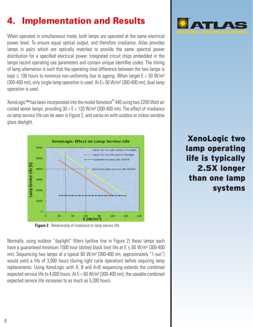#### **Implementation and Results**

When operated in simultaneous mode, both lamps are operated at the same electrical power level. To ensure equal optical output, and therefore irradiance, Atlas provides lamps in pairs which are optically matched to provide the same spectral power distribution for a specified electrical power. Integrated circuit chips embedded in the lamps record operating use parameters and contain unique identifier codes. The timing of lamp alternation is such that the operating time difference between the two lamps is kept  $\leq$  100 hours to minimize non-uniformity due to ageing. When target  $E < 50$  W/m<sup>2</sup> (300-400 nm), only single lamp operation is used. At E> 50 W/m² (300-400 nm), dual lamp operation is used.

XenoLogic™ has been incorporated into the model Xenotest® 440 using two 2200 Watt air cooled xenon lamps, providing 30 < E < 120 W/m² (300-400 nm). The effect of irradiance on lamp service life can be seen in Figure 2, and varies on with outdoor or indoor window glass daylight.



**Figure 2** - Relationship of irradiance to lamp service life.

Normally, using outdoor "daylight" filters (yellow line in Figure 2) these lamps each have a guaranteed minimum 1500 hour (dotted black line) life at  $E \le 60$  W/m<sup>2</sup> (300-400 nm). Sequencing two lamps at a typical 60 W/m² (300-400 nm, approximately "1-sun") would yield a life of 3,000 hours (during light cycle operation) before requiring lamp replacements. Using XenoLogic with A, B and A+B sequencing extends the combined expected service life to 4,000 hours. At  $E < 60$  W/m<sup>2</sup> (300-400 nm), the useable combined expected service life increases to as much as 5,300 hours.



XenoLogic two lamp operating life is typically 2.5X longer than one lamp systems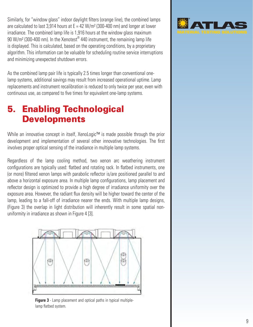Similarly, for "window glass" indoor daylight filters (orange line), the combined lamps are calculated to last 3,914 hours at  $E = 42$  W/m<sup>2</sup> (300-400 nm) and longer at lower irradiance. The combined lamp life is 1,916 hours at the window glass maximum 90 W/m<sup>2</sup> (300-400 nm). In the Xenotest® 440 instrument, the remaining lamp life is displayed. This is calculated, based on the operating conditions, by a proprietary algorithm. This information can be valuable for scheduling routine service interruptions and minimizing unexpected shutdown errors.

As the combined lamp pair life is typically 2.5 times longer than conventional onelamp systems, additional savings may result from increased operational uptime. Lamp replacements and instrument recalibration is reduced to only twice per year, even with continuous use, as compared to five times for equivalent one-lamp systems.

#### 5. Enabling Technological **Developments**

While an innovative concept in itself, XenoLogic™ is made possible through the prior development and implementation of several other innovative technologies. The first involves proper optical sensing of the irradiance in multiple lamp systems.

Regardless of the lamp cooling method, two xenon arc weathering instrument configurations are typically used: flatbed and rotating rack. In flatbed instruments, one (or more) filtered xenon lamps with parabolic reflector is/are positioned parallel to and above a horizontal exposure area. In multiple lamp configurations, lamp placement and reflector design is optimized to provide a high degree of irradiance uniformity over the exposure area. However, the radiant flux density will be higher toward the center of the lamp, leading to a fall-off of irradiance nearer the ends. With multiple lamp designs, (Figure 3) the overlap in light distribution will inherently result in some spatial nonuniformity in irradiance as shown in Figure 4 [3].



**Figure 3** - Lamp placement and optical paths in typical multiplelamp flatbed system.

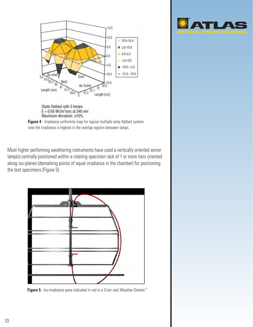

 $E = 0.68 W/(m^2 n m)$  at 340 nm Maximum deviation: ±10%

**Figure 4** - Irradiance uniformity map for typical multiple lamp flatbed system; note the irradiance is highest in the overlap regions between lamps.

Most higher performing weathering instruments have used a vertically oriented xenon lamp(s) centrally positioned within a rotating specimen rack of 1 or more tiers oriented along iso-planes (demarking points of equal irradiance in the chamber) for positioning the test specimens (Figure 5).



**Figure 5** - Iso-irradiance pane indicated in red in a 3-tier rack Weather-Ometer.®

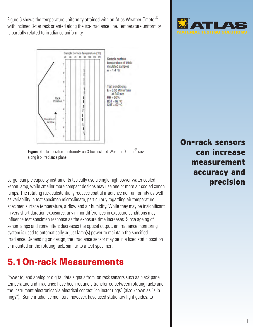Figure 6 shows the temperature uniformity attained with an Atlas Weather-Ometer<sup>®</sup> with inclined 3-tier rack oriented along the iso-irradiance line. Temperature uniformity is partially related to irradiance uniformity.





Larger sample capacity instruments typically use a single high power water cooled xenon lamp, while smaller more compact designs may use one or more air cooled xenon lamps. The rotating rack substantially reduces spatial irradiance non-uniformity as well as variability in test specimen microclimate, particularly regarding air temperature, specimen surface temperature, airflow and air humidity. While they may be insignificant in very short duration exposures, any minor differences in exposure conditions may influence test specimen response as the exposure time increases. Since ageing of xenon lamps and some filters decreases the optical output, an irradiance monitoring system is used to automatically adjust lamp(s) power to maintain the specified irradiance. Depending on design, the irradiance sensor may be in a fixed static position or mounted on the rotating rack, similar to a test specimen.

#### 5.1On-rack Measurements

Power to, and analog or digital data signals from, on rack sensors such as black panel temperature and irradiance have been routinely transferred between rotating racks and the instrument electronics via electrical contact "collector rings" (also known as "slip rings"). Some irradiance monitors, however, have used stationary light guides, to



On-rack sensors can increase measurement accuracy and precision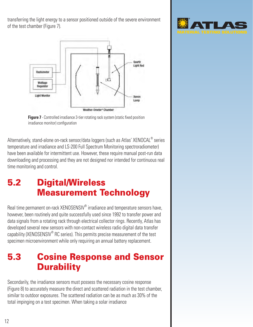transferring the light energy to a sensor positioned outside of the severe environment of the test chamber (Figure 7).





Alternatively, stand-alone on-rack sensor/data loggers (such as Atlas' XENOCAL® series temperature and irradiance and LS-200 Full Spectrum Monitoring spectroradiometer) have been available for intermittent use. However, these require manual post-run data downloading and processing and they are not designed nor intended for continuous real time monitoring and control.

#### 5.2 Digital/Wireless Measurement Technology

Real time permanent on-rack XENOSENSIV<sup>®</sup> irradiance and temperature sensors have, however, been routinely and quite successfully used since 1992 to transfer power and data signals from a rotating rack through electrical collector rings. Recently, Atlas has developed several new sensors with non-contact wireless radio digital data transfer capability (XENOSENSIV® RC series). This permits precise measurement of the test specimen microenvironment while only requiring an annual battery replacement.

#### 5.3 Cosine Response and Sensor **Durability**

Secondarily, the irradiance sensors must possess the necessary cosine response (Figure 8) to accurately measure the direct and scattered radiation in the test chamber, similar to outdoor exposures. The scattered radiation can be as much as 30% of the total impinging on a test specimen. When taking a solar irradiance

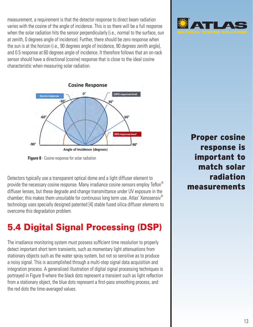measurement, a requirement is that the detector response to direct beam radiation varies with the cosine of the angle of incidence. This is so there will be a full response when the solar radiation hits the sensor perpendicularly (i.e., normal to the surface, sun at zenith, 0 degrees angle of incidence). Further, there should be zero response when the sun is at the horizon (i.e., 90 degrees angle of incidence, 90 degrees zenith angle), and 0.5 response at 60 degrees angle of incidence. It therefore follows that an on-rack sensor should have a directional (cosine) response that is close to the ideal cosine characteristic when measuring solar radiation.



**Figure 8** - Cosine response for solar radiation

Detectors typically use a transparent optical dome and a light diffuser element to provide the necessary cosine response. Many irradiance cosine sensors employ Teflon<sup>®</sup> diffuser lenses, but these degrade and change transmittance under UV exposure in the chamber; this makes them unsuitable for continuous long term use. Atlas' Xenosensiv® technology uses specially designed patented [4] stable fused silica diffuser elements to overcome this degradation problem.

#### 5.4 Digital Signal Processing (DSP)

The irradiance monitoring system must possess sufficient time resolution to properly detect important short term transients, such as momentary light attenuations from stationary objects such as the water spray system, but not so sensitive as to produce a noisy signal. This is accomplished through a multi-step signal data acquisition and integration process. A generalized illustration of digital signal processing techniques is portrayed in Figure 9 where the black dots represent a transient such as light reflection from a stationary object, the blue dots represent a first-pass smoothing process, and the red dots the time-averaged values.



Proper cosine response is important to match solar radiation measurements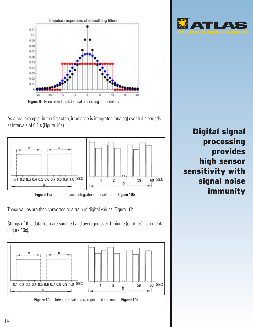

As a real example, in the first step, irradiance is integrated (analog) over 0.4 s periods at intervals of 0.1 s (Figure 10a).



These values are then converted to a train of digital values (Figure 10b).

Strings of this data train are summed and averaged over 1 minute (or other) increments (Figure 10c).





Digital signal processing provides high sensor sensitivity with signal noise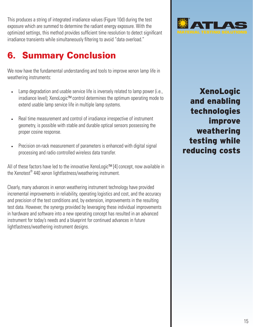This produces a string of integrated irradiance values (Figure 10d) during the test exposure which are summed to determine the radiant energy exposure. With the optimized settings, this method provides sufficient time resolution to detect significant irradiance transients while simultaneously filtering to avoid "data overload."

#### 6. Summary Conclusion

We now have the fundamental understanding and tools to improve xenon lamp life in weathering instruments:

- Lamp degradation and usable service life is inversely related to lamp power (i.e., irradiance level); XenoLogic™ control determines the optimum operating mode to extend usable lamp service life in multiple lamp systems.
- Real time measurement and control of irradiance irrespective of instrument geometry, is possible with stable and durable optical sensors possessing the proper cosine response.
- Precision on-rack measurement of parameters is enhanced with digital signal processing and radio controlled wireless data transfer.

All of these factors have led to the innovative XenoLogic™ [4] concept, now available in the Xenotest® 440 xenon lightfastness/weathering instrument.

Clearly, many advances in xenon weathering instrument technology have provided incremental improvements in reliability, operating logistics and cost, and the accuracy and precision of the test conditions and, by extension, improvements in the resulting test data. However, the synergy provided by leveraging these individual improvements in hardware and software into a new operating concept has resulted in an advanced instrument for today's needs and a blueprint for continued advances in future lightfastness/weathering instrument designs.



XenoLogic and enabling technologies improve weathering testing while reducing costs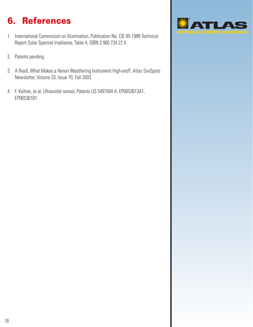### 6. References

- 1. International Commission on Illumination, Publication No. CIE 85-1989 Technical Report Solar Spectral Irradiance, Table 4, ISBN 3 900 734 22 4.
- 2. Patents pending.
- 3. A.Riedl, What Makes a Xenon Weathering Instrument High-end?, Atlas SunSpots Newsletter, Volume 33, Issue 70, Fall 2003.
- 4. F. Kellner, et al, Ultraviolet sensor, Patents US 5497004 A, EP0653613A1, EP065361B1.